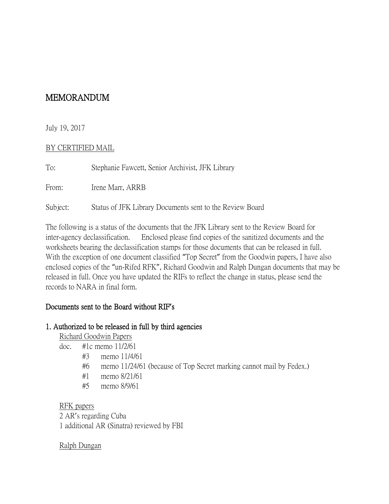# MEMORANDUM

## July 19, 2017

#### BY CERTIFIED MAIL

| To:      | Stephanie Fawcett, Senior Archivist, JFK Library         |
|----------|----------------------------------------------------------|
| From:    | Irene Marr, ARRB                                         |
| Subject: | Status of JFK Library Documents sent to the Review Board |

The following is a status of the documents that the JFK Library sent to the Review Board for inter-agency declassification. Enclosed please find copies of the sanitized documents and the worksheets bearing the declassification stamps for those documents that can be released in full. With the exception of one document classified "Top Secret" from the Goodwin papers, I have also enclosed copies of the "un-Rifed RFK", Richard Goodwin and Ralph Dungan documents that may be released in full. Once you have updated the RIFs to reflect the change in status, please send the records to NARA in final form.

## Documents sent to the Board without RIF**'**s

## 1. Authorized to be released in full by third agencies

Richard Goodwin Papers

- doc. #1c memo 11/2/61
	- #3 memo 11/4/61
	- #6 memo 11/24/61 (because of Top Secret marking cannot mail by Fedex.)
	- #1 memo 8/21/61
	- #5 memo 8/9/61

RFK papers 2 AR's regarding Cuba 1 additional AR (Sinatra) reviewed by FBI

## Ralph Dungan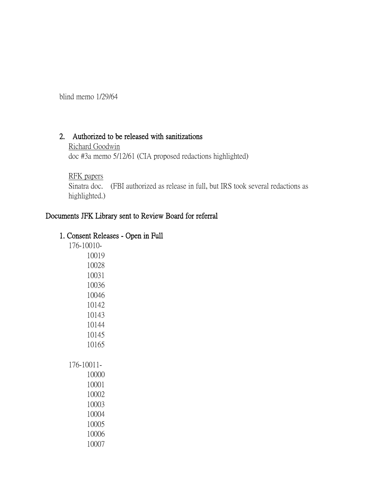blind memo 1/29/64

#### 2. Authorized to be released with sanitizations

Richard Goodwin doc #3a memo 5/12/61 (CIA proposed redactions highlighted)

RFK papers

Sinatra doc. (FBI authorized as release in full, but IRS took several redactions as highlighted.)

# Documents JFK Library sent to Review Board for referral

## 1. Consent Releases - Open in Full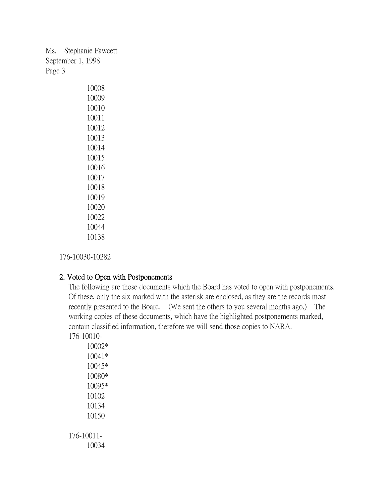Ms. Stephanie Fawcett September 1, 1998 Page 3

176-10030-10282

## 2. Voted to Open with Postponements

The following are those documents which the Board has voted to open with postponements. Of these, only the six marked with the asterisk are enclosed, as they are the records most recently presented to the Board. (We sent the others to you several months ago.) The working copies of these documents, which have the highlighted postponements marked, contain classified information, therefore we will send those copies to NARA. 176-10010-

10002\* 10041\* 10045\* 10080\* 10095\* 10102 10134 10150 176-10011- 10034